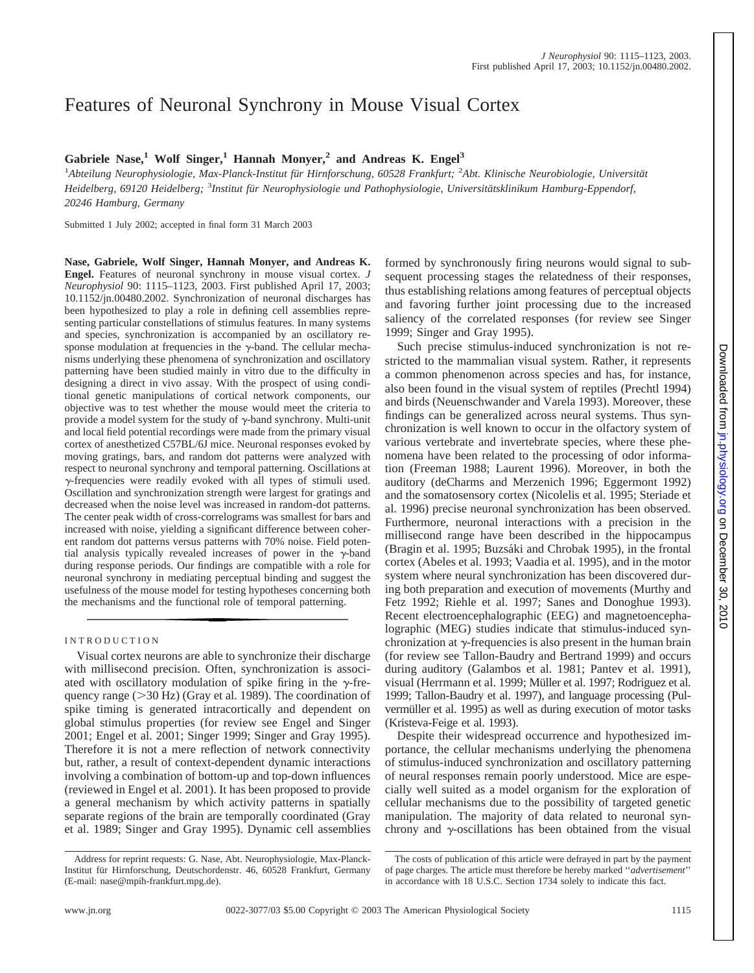# Features of Neuronal Synchrony in Mouse Visual Cortex

Gabriele Nase,<sup>1</sup> Wolf Singer,<sup>1</sup> Hannah Monyer,<sup>2</sup> and Andreas K. Engel<sup>3</sup>

<sup>1</sup>Abteilung Neurophysiologie, Max-Planck-Institut für Hirnforschung, 60528 Frankfurt; <sup>2</sup>Abt. Klinische Neurobiologie, Universität Heidelberg, 69120 Heidelberg; <sup>3</sup>Institut für Neurophysiologie und Pathophysiologie, Universitätsklinikum Hamburg-Eppendorf, *20246 Hamburg, Germany*

Submitted 1 July 2002; accepted in final form 31 March 2003

**Nase, Gabriele, Wolf Singer, Hannah Monyer, and Andreas K. Engel.** Features of neuronal synchrony in mouse visual cortex. *J Neurophysiol* 90: 1115–1123, 2003. First published April 17, 2003; 10.1152/jn.00480.2002. Synchronization of neuronal discharges has been hypothesized to play a role in defining cell assemblies representing particular constellations of stimulus features. In many systems and species, synchronization is accompanied by an oscillatory response modulation at frequencies in the  $\gamma$ -band. The cellular mechanisms underlying these phenomena of synchronization and oscillatory patterning have been studied mainly in vitro due to the difficulty in designing a direct in vivo assay. With the prospect of using conditional genetic manipulations of cortical network components, our objective was to test whether the mouse would meet the criteria to provide a model system for the study of  $\gamma$ -band synchrony. Multi-unit and local field potential recordings were made from the primary visual cortex of anesthetized C57BL/6J mice. Neuronal responses evoked by moving gratings, bars, and random dot patterns were analyzed with respect to neuronal synchrony and temporal patterning. Oscillations at  $\gamma$ -frequencies were readily evoked with all types of stimuli used. Oscillation and synchronization strength were largest for gratings and decreased when the noise level was increased in random-dot patterns. The center peak width of cross-correlograms was smallest for bars and increased with noise, yielding a significant difference between coherent random dot patterns versus patterns with 70% noise. Field potential analysis typically revealed increases of power in the  $\gamma$ -band during response periods. Our findings are compatible with a role for neuronal synchrony in mediating perceptual binding and suggest the usefulness of the mouse model for testing hypotheses concerning both the mechanisms and the functional role of temporal patterning.

Visual cortex neurons are able to synchronize their discharge with millisecond precision. Often, synchronization is associated with oscillatory modulation of spike firing in the  $\gamma$ -frequency range  $(>30 \text{ Hz})$  (Gray et al. 1989). The coordination of spike timing is generated intracortically and dependent on global stimulus properties (for review see Engel and Singer 2001; Engel et al. 2001; Singer 1999; Singer and Gray 1995). Therefore it is not a mere reflection of network connectivity but, rather, a result of context-dependent dynamic interactions involving a combination of bottom-up and top-down influences (reviewed in Engel et al. 2001). It has been proposed to provide a general mechanism by which activity patterns in spatially separate regions of the brain are temporally coordinated (Gray et al. 1989; Singer and Gray 1995). Dynamic cell assemblies formed by synchronously firing neurons would signal to subsequent processing stages the relatedness of their responses, thus establishing relations among features of perceptual objects and favoring further joint processing due to the increased saliency of the correlated responses (for review see Singer 1999; Singer and Gray 1995).

Such precise stimulus-induced synchronization is not restricted to the mammalian visual system. Rather, it represents a common phenomenon across species and has, for instance, also been found in the visual system of reptiles (Prechtl 1994) and birds (Neuenschwander and Varela 1993). Moreover, these findings can be generalized across neural systems. Thus synchronization is well known to occur in the olfactory system of various vertebrate and invertebrate species, where these phenomena have been related to the processing of odor information (Freeman 1988; Laurent 1996). Moreover, in both the auditory (deCharms and Merzenich 1996; Eggermont 1992) and the somatosensory cortex (Nicolelis et al. 1995; Steriade et al. 1996) precise neuronal synchronization has been observed. Furthermore, neuronal interactions with a precision in the millisecond range have been described in the hippocampus (Bragin et al. 1995; Buzsáki and Chrobak 1995), in the frontal cortex (Abeles et al. 1993; Vaadia et al. 1995), and in the motor system where neural synchronization has been discovered during both preparation and execution of movements (Murthy and Fetz 1992; Riehle et al. 1997; Sanes and Donoghue 1993). Recent electroencephalographic (EEG) and magnetoencephalographic (MEG) studies indicate that stimulus-induced synchronization at  $\gamma$ -frequencies is also present in the human brain (for review see Tallon-Baudry and Bertrand 1999) and occurs during auditory (Galambos et al. 1981; Pantev et al. 1991), visual (Herrmann et al. 1999; Müller et al. 1997; Rodriguez et al. 1999; Tallon-Baudry et al. 1997), and language processing (Pulvermüller et al. 1995) as well as during execution of motor tasks (Kristeva-Feige et al. 1993).

Despite their widespread occurrence and hypothesized importance, the cellular mechanisms underlying the phenomena of stimulus-induced synchronization and oscillatory patterning of neural responses remain poorly understood. Mice are especially well suited as a model organism for the exploration of cellular mechanisms due to the possibility of targeted genetic manipulation. The majority of data related to neuronal synchrony and  $\gamma$ -oscillations has been obtained from the visual

The costs of publication of this article were defrayed in part by the payment of page charges. The article must therefore be hereby marked ''*advertisement*'' in accordance with 18 U.S.C. Section 1734 solely to indicate this fact.

INTRODUCTION

Address for reprint requests: G. Nase, Abt. Neurophysiologie, Max-Planck-Institut für Hirnforschung, Deutschordenstr. 46, 60528 Frankfurt, Germany (E-mail: nase@mpih-frankfurt.mpg.de).

Downloaded from in physiology.org on December 30, on December 30, 2010 [jn.physiology.org](http://jn.physiology.org/) Downloaded from 2010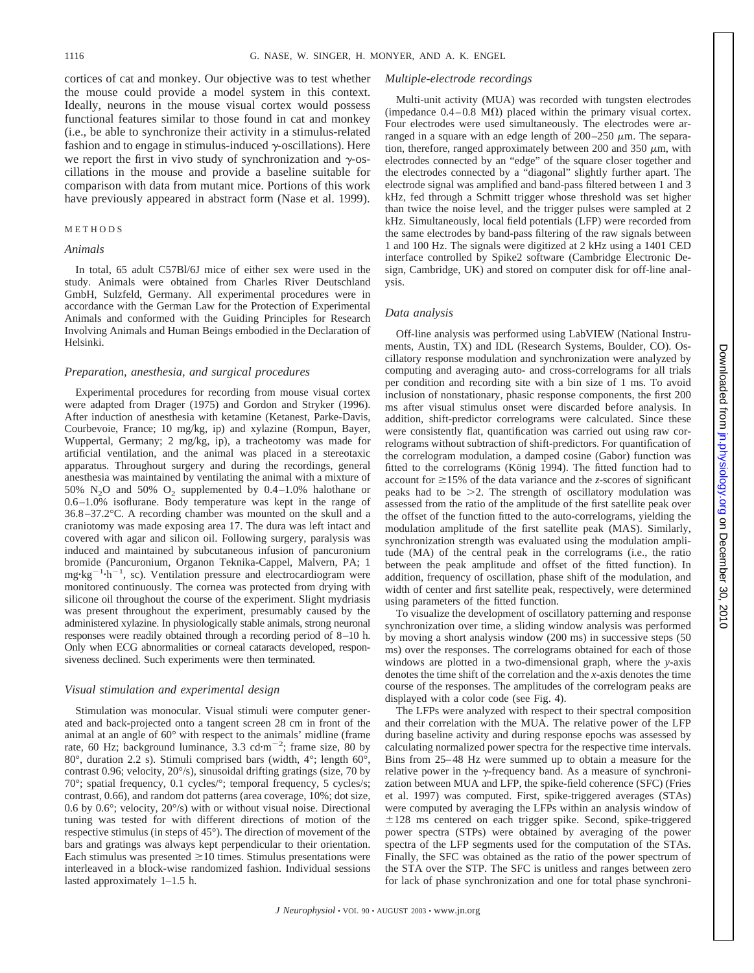cortices of cat and monkey. Our objective was to test whether the mouse could provide a model system in this context. Ideally, neurons in the mouse visual cortex would possess functional features similar to those found in cat and monkey (i.e., be able to synchronize their activity in a stimulus-related fashion and to engage in stimulus-induced  $\gamma$ -oscillations). Here we report the first in vivo study of synchronization and  $\gamma$ -oscillations in the mouse and provide a baseline suitable for comparison with data from mutant mice. Portions of this work have previously appeared in abstract form (Nase et al. 1999).

#### METHODS

## *Animals*

In total, 65 adult C57Bl/6J mice of either sex were used in the study. Animals were obtained from Charles River Deutschland GmbH, Sulzfeld, Germany. All experimental procedures were in accordance with the German Law for the Protection of Experimental Animals and conformed with the Guiding Principles for Research Involving Animals and Human Beings embodied in the Declaration of Helsinki.

#### *Preparation, anesthesia, and surgical procedures*

Experimental procedures for recording from mouse visual cortex were adapted from Drager (1975) and Gordon and Stryker (1996). After induction of anesthesia with ketamine (Ketanest, Parke-Davis, Courbevoie, France; 10 mg/kg, ip) and xylazine (Rompun, Bayer, Wuppertal, Germany; 2 mg/kg, ip), a tracheotomy was made for artificial ventilation, and the animal was placed in a stereotaxic apparatus. Throughout surgery and during the recordings, general anesthesia was maintained by ventilating the animal with a mixture of 50% N<sub>2</sub>O and 50% O<sub>2</sub> supplemented by  $0.4-1.0$ % halothane or 0.6–1.0% isoflurane. Body temperature was kept in the range of 36.8–37.2°C. A recording chamber was mounted on the skull and a craniotomy was made exposing area 17. The dura was left intact and covered with agar and silicon oil. Following surgery, paralysis was induced and maintained by subcutaneous infusion of pancuronium bromide (Pancuronium, Organon Teknika-Cappel, Malvern, PA; 1  $mg \cdot kg^{-1} \cdot h^{-1}$ , sc). Ventilation pressure and electrocardiogram were monitored continuously. The cornea was protected from drying with silicone oil throughout the course of the experiment. Slight mydriasis was present throughout the experiment, presumably caused by the administered xylazine. In physiologically stable animals, strong neuronal responses were readily obtained through a recording period of 8–10 h. Only when ECG abnormalities or corneal cataracts developed, responsiveness declined. Such experiments were then terminated.

#### *Visual stimulation and experimental design*

Stimulation was monocular. Visual stimuli were computer generated and back-projected onto a tangent screen 28 cm in front of the animal at an angle of 60° with respect to the animals' midline (frame rate, 60 Hz; background luminance, 3.3 cd $\cdot$ m<sup>-2</sup>; frame size, 80 by 80°, duration 2.2 s). Stimuli comprised bars (width, 4°; length 60°, contrast 0.96; velocity, 20°/s), sinusoidal drifting gratings (size, 70 by 70°; spatial frequency, 0.1 cycles/°; temporal frequency, 5 cycles/s; contrast, 0.66), and random dot patterns (area coverage, 10%; dot size, 0.6 by 0.6°; velocity, 20°/s) with or without visual noise. Directional tuning was tested for with different directions of motion of the respective stimulus (in steps of 45°). The direction of movement of the bars and gratings was always kept perpendicular to their orientation. Each stimulus was presented  $\geq 10$  times. Stimulus presentations were interleaved in a block-wise randomized fashion. Individual sessions lasted approximately 1–1.5 h.

#### *Multiple-electrode recordings*

Multi-unit activity (MUA) was recorded with tungsten electrodes (impedance  $0.4-0.8$  M $\Omega$ ) placed within the primary visual cortex. Four electrodes were used simultaneously. The electrodes were arranged in a square with an edge length of  $200-250 \mu m$ . The separation, therefore, ranged approximately between 200 and 350  $\mu$ m, with electrodes connected by an "edge" of the square closer together and the electrodes connected by a "diagonal" slightly further apart. The electrode signal was amplified and band-pass filtered between 1 and 3 kHz, fed through a Schmitt trigger whose threshold was set higher than twice the noise level, and the trigger pulses were sampled at 2 kHz. Simultaneously, local field potentials (LFP) were recorded from the same electrodes by band-pass filtering of the raw signals between 1 and 100 Hz. The signals were digitized at 2 kHz using a 1401 CED interface controlled by Spike2 software (Cambridge Electronic Design, Cambridge, UK) and stored on computer disk for off-line analysis.

#### *Data analysis*

Off-line analysis was performed using LabVIEW (National Instruments, Austin, TX) and IDL (Research Systems, Boulder, CO). Oscillatory response modulation and synchronization were analyzed by computing and averaging auto- and cross-correlograms for all trials per condition and recording site with a bin size of 1 ms. To avoid inclusion of nonstationary, phasic response components, the first 200 ms after visual stimulus onset were discarded before analysis. In addition, shift-predictor correlograms were calculated. Since these were consistently flat, quantification was carried out using raw correlograms without subtraction of shift-predictors. For quantification of the correlogram modulation, a damped cosine (Gabor) function was fitted to the correlograms (König 1994). The fitted function had to account for  $\geq$ 15% of the data variance and the *z*-scores of significant peaks had to be  $>2$ . The strength of oscillatory modulation was assessed from the ratio of the amplitude of the first satellite peak over the offset of the function fitted to the auto-correlograms, yielding the modulation amplitude of the first satellite peak (MAS). Similarly, synchronization strength was evaluated using the modulation amplitude (MA) of the central peak in the correlograms (i.e., the ratio between the peak amplitude and offset of the fitted function). In addition, frequency of oscillation, phase shift of the modulation, and width of center and first satellite peak, respectively, were determined using parameters of the fitted function.

To visualize the development of oscillatory patterning and response synchronization over time, a sliding window analysis was performed by moving a short analysis window (200 ms) in successive steps (50 ms) over the responses. The correlograms obtained for each of those windows are plotted in a two-dimensional graph, where the *y*-axis denotes the time shift of the correlation and the *x*-axis denotes the time course of the responses. The amplitudes of the correlogram peaks are displayed with a color code (see Fig. 4).

The LFPs were analyzed with respect to their spectral composition and their correlation with the MUA. The relative power of the LFP during baseline activity and during response epochs was assessed by calculating normalized power spectra for the respective time intervals. Bins from 25–48 Hz were summed up to obtain a measure for the relative power in the  $\gamma$ -frequency band. As a measure of synchronization between MUA and LFP, the spike-field coherence (SFC) (Fries et al. 1997) was computed. First, spike-triggered averages (STAs) were computed by averaging the LFPs within an analysis window of  $\pm 128\,$  ms centered on each trigger spike. Second, spike-triggered power spectra (STPs) were obtained by averaging of the power spectra of the LFP segments used for the computation of the STAs. Finally, the SFC was obtained as the ratio of the power spectrum of the STA over the STP. The SFC is unitless and ranges between zero for lack of phase synchronization and one for total phase synchroni-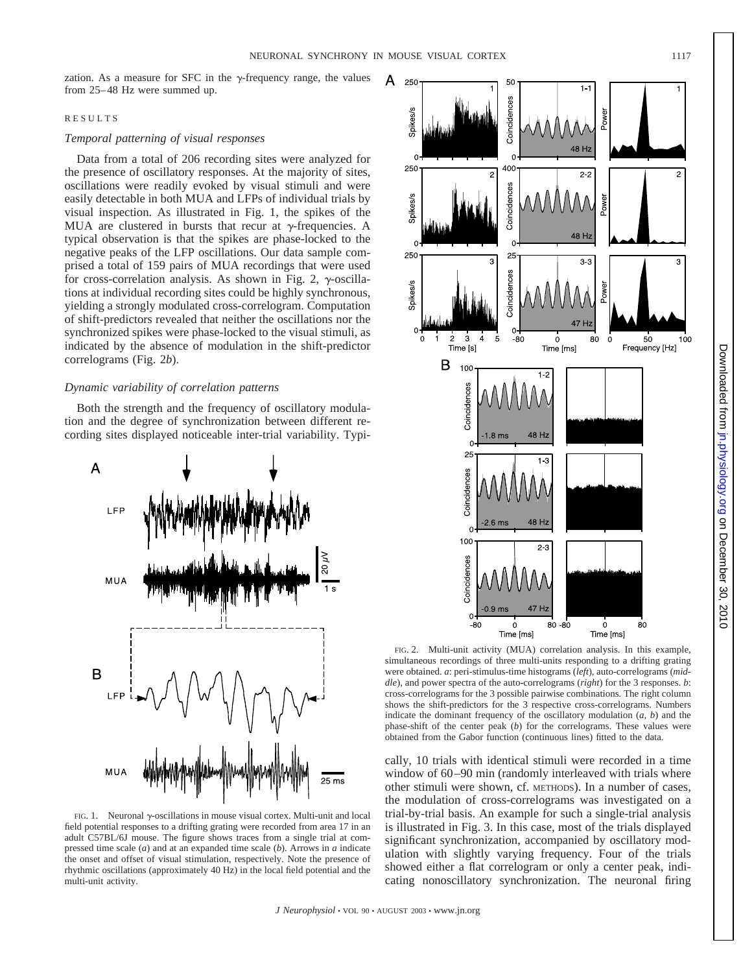А

zation. As a measure for SFC in the  $\gamma$ -frequency range, the values from 25–48 Hz were summed up.

#### RESULTS

## *Temporal patterning of visual responses*

Data from a total of 206 recording sites were analyzed for the presence of oscillatory responses. At the majority of sites, oscillations were readily evoked by visual stimuli and were easily detectable in both MUA and LFPs of individual trials by visual inspection. As illustrated in Fig. 1, the spikes of the MUA are clustered in bursts that recur at  $\gamma$ -frequencies. A typical observation is that the spikes are phase-locked to the negative peaks of the LFP oscillations. Our data sample comprised a total of 159 pairs of MUA recordings that were used for cross-correlation analysis. As shown in Fig. 2,  $\gamma$ -oscillations at individual recording sites could be highly synchronous, yielding a strongly modulated cross-correlogram. Computation of shift-predictors revealed that neither the oscillations nor the synchronized spikes were phase-locked to the visual stimuli, as indicated by the absence of modulation in the shift-predictor correlograms (Fig. 2*b*).

## *Dynamic variability of correlation patterns*

Both the strength and the frequency of oscillatory modulation and the degree of synchronization between different recording sites displayed noticeable inter-trial variability. Typi-



FIG. 1. Neuronal  $\gamma$ -oscillations in mouse visual cortex. Multi-unit and local field potential responses to a drifting grating were recorded from area 17 in an adult C57BL/6J mouse. The figure shows traces from a single trial at compressed time scale (*a*) and at an expanded time scale (*b*). Arrows in *a* indicate the onset and offset of visual stimulation, respectively. Note the presence of rhythmic oscillations (approximately 40 Hz) in the local field potential and the multi-unit activity.



FIG. 2. Multi-unit activity (MUA) correlation analysis. In this example, simultaneous recordings of three multi-units responding to a drifting grating were obtained. *a*: peri-stimulus-time histograms (*left*), auto-correlograms (*middle*), and power spectra of the auto-correlograms (*right*) for the 3 responses. *b*: cross-correlograms for the 3 possible pairwise combinations. The right column shows the shift-predictors for the 3 respective cross-correlograms. Numbers indicate the dominant frequency of the oscillatory modulation  $(a, b)$  and the phase-shift of the center peak (*b*) for the correlograms. These values were obtained from the Gabor function (continuous lines) fitted to the data.

cally, 10 trials with identical stimuli were recorded in a time window of 60–90 min (randomly interleaved with trials where other stimuli were shown, cf. METHODS). In a number of cases, the modulation of cross-correlograms was investigated on a trial-by-trial basis. An example for such a single-trial analysis is illustrated in Fig. 3. In this case, most of the trials displayed significant synchronization, accompanied by oscillatory modulation with slightly varying frequency. Four of the trials showed either a flat correlogram or only a center peak, indicating nonoscillatory synchronization. The neuronal firing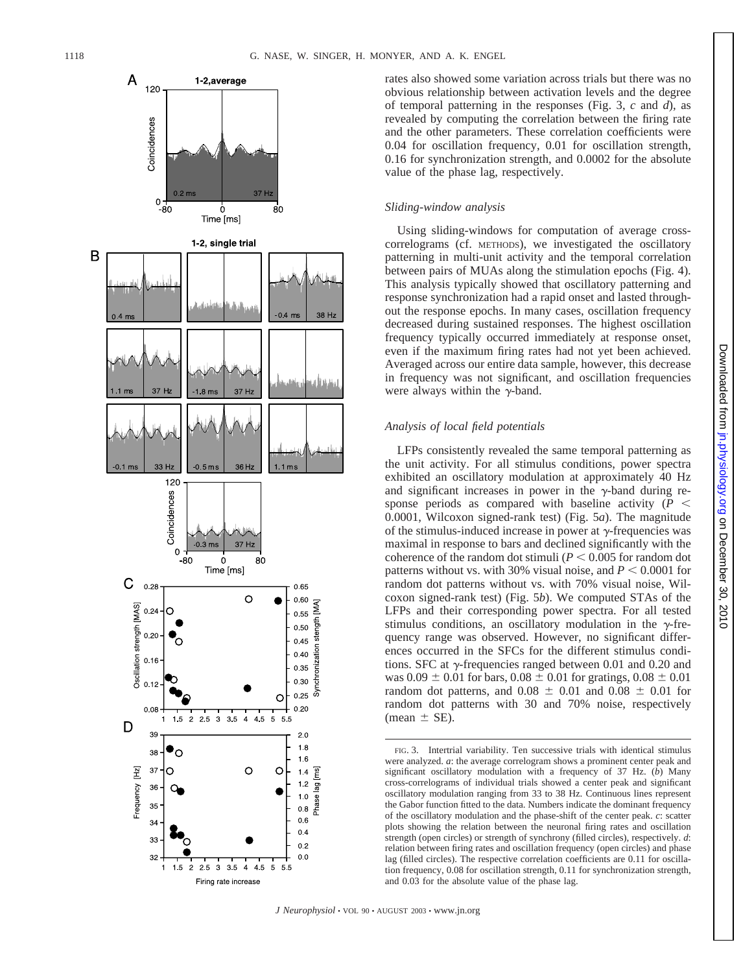

rates also showed some variation across trials but there was no obvious relationship between activation levels and the degree of temporal patterning in the responses (Fig. 3, *c* and *d*), as revealed by computing the correlation between the firing rate and the other parameters. These correlation coefficients were 0.04 for oscillation frequency, 0.01 for oscillation strength, 0.16 for synchronization strength, and 0.0002 for the absolute value of the phase lag, respectively.

## *Sliding-window analysis*

Using sliding-windows for computation of average crosscorrelograms (cf. METHODS), we investigated the oscillatory patterning in multi-unit activity and the temporal correlation between pairs of MUAs along the stimulation epochs (Fig. 4). This analysis typically showed that oscillatory patterning and response synchronization had a rapid onset and lasted throughout the response epochs. In many cases, oscillation frequency decreased during sustained responses. The highest oscillation frequency typically occurred immediately at response onset, even if the maximum firing rates had not yet been achieved. Averaged across our entire data sample, however, this decrease in frequency was not signi ficant, and oscillation frequencies were always within the  $\gamma$ -band.

## *Analysis of local field potentials*

LFPs consistently revealed the same temporal patterning as the unit activity. For all stimulus conditions, power spectra exhibited an oscillatory modulation at approximately 40 Hz and significant increases in power in the  $\gamma$ -band during response periods as compared with baseline activity  $(P \leq$ 0.0001, Wilcoxon signed-rank test) (Fig. 5 *a*). The magnitude of the stimulus-induced increase in power at  $\gamma$ -frequencies was maximal in response to bars and declined signi ficantly with the coherence of the random dot stimuli ( $P \leq 0.005$  for random dot patterns without vs. with 30% visual noise, and  $P \le 0.0001$  for random dot patterns without vs. with 70% visual noise, Wilcoxon signed-rank test) (Fig. 5*b*). We computed STAs of the LFPs and their corresponding power spectra. For all tested stimulus conditions, an oscillatory modulation in the  $\gamma$ -frequency range was observed. However, no significant differences occurred in the SFCs for the different stimulus conditions. SFC at  $\gamma$ -frequencies ranged between 0.01 and 0.20 and was  $0.09 \pm 0.01$  for bars,  $0.08 \pm 0.01$  for gratings,  $0.08 \pm 0.01$ random dot patterns, and  $0.08 \pm 0.01$  and  $0.08 \pm 0.01$  for random dot patterns with 30 and 70% noise, respectively  $(\text{mean} \pm \text{SE}).$ 

FIG. 3. Intertrial variability. Ten successive trials with identical stimulus were analyzed. *a*: the average correlogram shows a prominent center peak and signi ficant oscillatory modulation with a frequency of 37 Hz. ( *b*) Many cross-correlograms of individual trials showed a center peak and signi ficant oscillatory modulation ranging from 33 to 38 Hz. Continuous lines represent the Gabor function fitted to the data. Numbers indicate the dominant frequency of the oscillatory modulation and the phase-shift of the center peak. *c*: scatter plots showing the relation between the neuronal firing rates and oscillation strength (open circles) or strength of synchrony ( filled circles), respectively. *d* : relation between firing rates and oscillation frequency (open circles) and phase lag ( filled circles). The respective correlation coefficients are 0.11 for oscillation frequency, 0.08 for oscillation strength, 0.11 for synchronization strength, and 0.03 for the absolute value of the phase lag.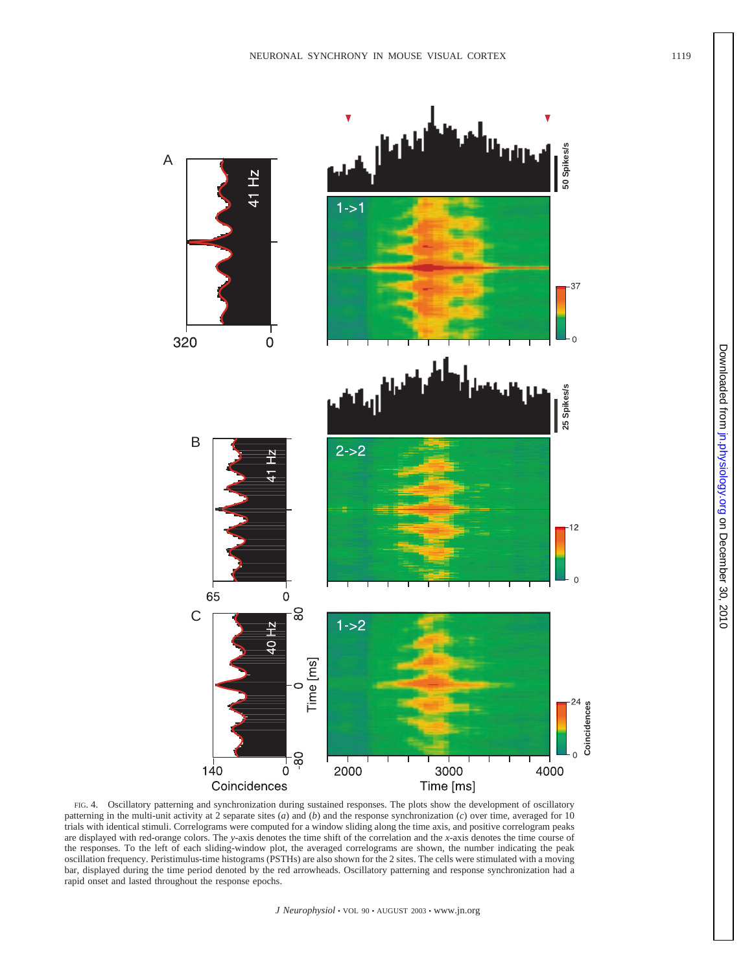



FIG. 4. Oscillatory patterning and synchronization during sustained responses. The plots show the development of oscillatory patterning in the multi-unit activity at 2 separate sites (*a*) and (*b*) and the response synchronization (*c*) over time, averaged for 10 trials with identical stimuli. Correlograms were computed for a window sliding along the time axis, and positive correlogram peaks are displayed with red-orange colors. The *y*-axis denotes the time shift of the correlation and the *x*-axis denotes the time course of the responses. To the left of each sliding-window plot, the averaged correlograms are shown, the number indicating the peak oscillation frequency. Peristimulus-time histograms (PSTHs) are also shown for the 2 sites. The cells were stimulated with a moving bar, displayed during the time period denoted by the red arrowheads. Oscillatory patterning and response synchronization had a rapid onset and lasted throughout the response epochs.

B

320

A

41 Hz

 $\overline{0}$ 

41 Hz

C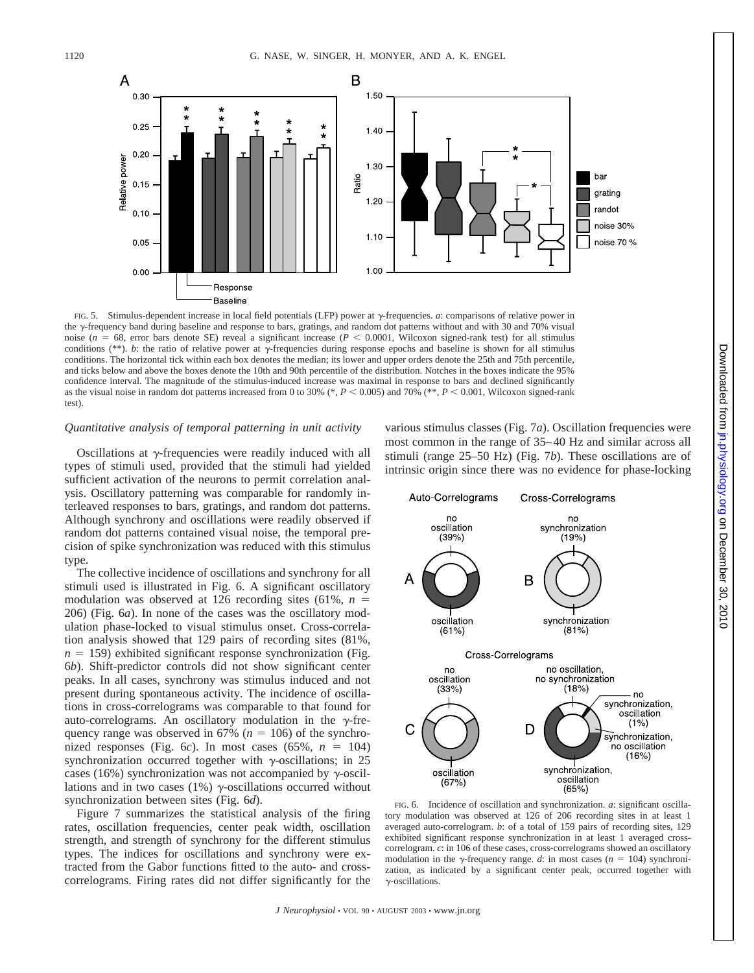

FIG. 5. Stimulus-dependent increase in local field potentials (LFP) power at  $\gamma$ -frequencies. *a*: comparisons of relative power in the  $\gamma$ -frequency band during baseline and response to bars, gratings, and random dot patterns without and with 30 and 70% visual noise ( $n = 68$ , error bars denote SE) reveal a significant increase ( $P < 0.0001$ , Wilcoxon signed-rank test) for all stimulus conditions ( $**$ ). *b*: the ratio of relative power at  $\gamma$ -frequencies during response epochs and baseline is shown for all stimulus conditions. The horizontal tick within each box denotes the median; its lower and upper orders denote the 25th and 75th percentile, and ticks below and above the boxes denote the 10th and 90th percentile of the distribution. Notches in the boxes indicate the 95% confidence interval. The magnitude of the stimulus-induced increase was maximal in response to bars and declined significantly as the visual noise in random dot patterns increased from 0 to 30% (\*,  $P < 0.005$ ) and 70% (\*\*,  $P < 0.001$ , Wilcoxon signed-rank test).

#### *Quantitative analysis of temporal patterning in unit activity*

Oscillations at  $\gamma$ -frequencies were readily induced with all types of stimuli used, provided that the stimuli had yielded sufficient activation of the neurons to permit correlation analysis. Oscillatory patterning was comparable for randomly interleaved responses to bars, gratings, and random dot patterns. Although synchrony and oscillations were readily observed if random dot patterns contained visual noise, the temporal precision of spike synchronization was reduced with this stimulus type.

The collective incidence of oscillations and synchrony for all stimuli used is illustrated in Fig. 6. A significant oscillatory modulation was observed at 126 recording sites (61%, *n* 206) (Fig. 6*a*). In none of the cases was the oscillatory modulation phase-locked to visual stimulus onset. Cross-correlation analysis showed that 129 pairs of recording sites (81%,  $n = 159$ ) exhibited significant response synchronization (Fig. 6*b*). Shift-predictor controls did not show significant center peaks. In all cases, synchrony was stimulus induced and not present during spontaneous activity. The incidence of oscillations in cross-correlograms was comparable to that found for auto-correlograms. An oscillatory modulation in the  $\gamma$ -frequency range was observed in 67% ( $n = 106$ ) of the synchronized responses (Fig. 6*c*). In most cases (65%,  $n = 104$ ) synchronization occurred together with  $\gamma$ -oscillations; in 25 cases (16%) synchronization was not accompanied by  $\gamma$ -oscillations and in two cases (1%)  $\gamma$ -oscillations occurred without synchronization between sites (Fig. 6*d*).

Figure 7 summarizes the statistical analysis of the firing rates, oscillation frequencies, center peak width, oscillation strength, and strength of synchrony for the different stimulus types. The indices for oscillations and synchrony were extracted from the Gabor functions fitted to the auto- and crosscorrelograms. Firing rates did not differ significantly for the various stimulus classes (Fig. 7*a*). Oscillation frequencies were most common in the range of 35–40 Hz and similar across all stimuli (range 25–50 Hz) (Fig. 7*b*). These oscillations are of intrinsic origin since there was no evidence for phase-locking

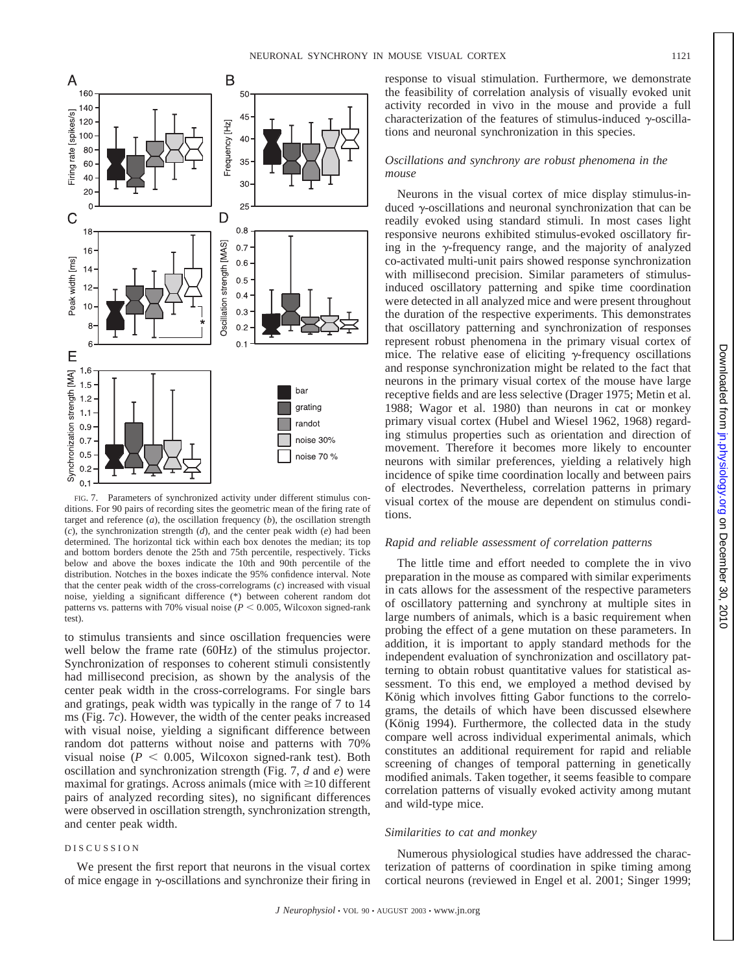

FIG. 7. Parameters of synchronized activity under different stimulus conditions. For 90 pairs of recording sites the geometric mean of the firing rate of target and reference (*a*), the oscillation frequency (*b*), the oscillation strength (*c*), the synchronization strength (*d*), and the center peak width (*e*) had been determined. The horizontal tick within each box denotes the median; its top and bottom borders denote the 25th and 75th percentile, respectively. Ticks below and above the boxes indicate the 10th and 90th percentile of the distribution. Notches in the boxes indicate the 95% confidence interval. Note that the center peak width of the cross-correlograms (*c*) increased with visual noise, yielding a significant difference (\*) between coherent random dot patterns vs. patterns with 70% visual noise ( $P < 0.005$ , Wilcoxon signed-rank test).

to stimulus transients and since oscillation frequencies were well below the frame rate (60Hz) of the stimulus projector. Synchronization of responses to coherent stimuli consistently had millisecond precision, as shown by the analysis of the center peak width in the cross-correlograms. For single bars and gratings, peak width was typically in the range of 7 to 14 ms (Fig. 7*c*). However, the width of the center peaks increased with visual noise, yielding a significant difference between random dot patterns without noise and patterns with 70% visual noise ( $P < 0.005$ , Wilcoxon signed-rank test). Both oscillation and synchronization strength (Fig. 7, *d* and *e*) were maximal for gratings. Across animals (mice with  $\geq$  10 different pairs of analyzed recording sites), no significant differences were observed in oscillation strength, synchronization strength, and center peak width.

## DISCUSSION

We present the first report that neurons in the visual cortex of mice engage in  $\gamma$ -oscillations and synchronize their firing in response to visual stimulation. Furthermore, we demonstrate the feasibility of correlation analysis of visually evoked unit activity recorded in vivo in the mouse and provide a full characterization of the features of stimulus-induced  $\gamma$ -oscillations and neuronal synchronization in this species.

## *Oscillations and synchrony are robust phenomena in the mouse*

Neurons in the visual cortex of mice display stimulus-induced  $\gamma$ -oscillations and neuronal synchronization that can be readily evoked using standard stimuli. In most cases light responsive neurons exhibited stimulus-evoked oscillatory firing in the  $\gamma$ -frequency range, and the majority of analyzed co-activated multi-unit pairs showed response synchronization with millisecond precision. Similar parameters of stimulusinduced oscillatory patterning and spike time coordination were detected in all analyzed mice and were present throughout the duration of the respective experiments. This demonstrates that oscillatory patterning and synchronization of responses represent robust phenomena in the primary visual cortex of mice. The relative ease of eliciting  $\gamma$ -frequency oscillations and response synchronization might be related to the fact that neurons in the primary visual cortex of the mouse have large receptive fields and are less selective (Drager 1975; Metin et al. 1988; Wagor et al. 1980) than neurons in cat or monkey primary visual cortex (Hubel and Wiesel 1962, 1968) regarding stimulus properties such as orientation and direction of movement. Therefore it becomes more likely to encounter neurons with similar preferences, yielding a relatively high incidence of spike time coordination locally and between pairs of electrodes. Nevertheless, correlation patterns in primary visual cortex of the mouse are dependent on stimulus conditions.

## *Rapid and reliable assessment of correlation patterns*

The little time and effort needed to complete the in vivo preparation in the mouse as compared with similar experiments in cats allows for the assessment of the respective parameters of oscillatory patterning and synchrony at multiple sites in large numbers of animals, which is a basic requirement when probing the effect of a gene mutation on these parameters. In addition, it is important to apply standard methods for the independent evaluation of synchronization and oscillatory patterning to obtain robust quantitative values for statistical assessment. To this end, we employed a method devised by König which involves fitting Gabor functions to the correlograms, the details of which have been discussed elsewhere (König 1994). Furthermore, the collected data in the study compare well across individual experimental animals, which constitutes an additional requirement for rapid and reliable screening of changes of temporal patterning in genetically modified animals. Taken together, it seems feasible to compare correlation patterns of visually evoked activity among mutant and wild-type mice.

# *Similarities to cat and monkey*

Numerous physiological studies have addressed the characterization of patterns of coordination in spike timing among cortical neurons (reviewed in Engel et al. 2001; Singer 1999;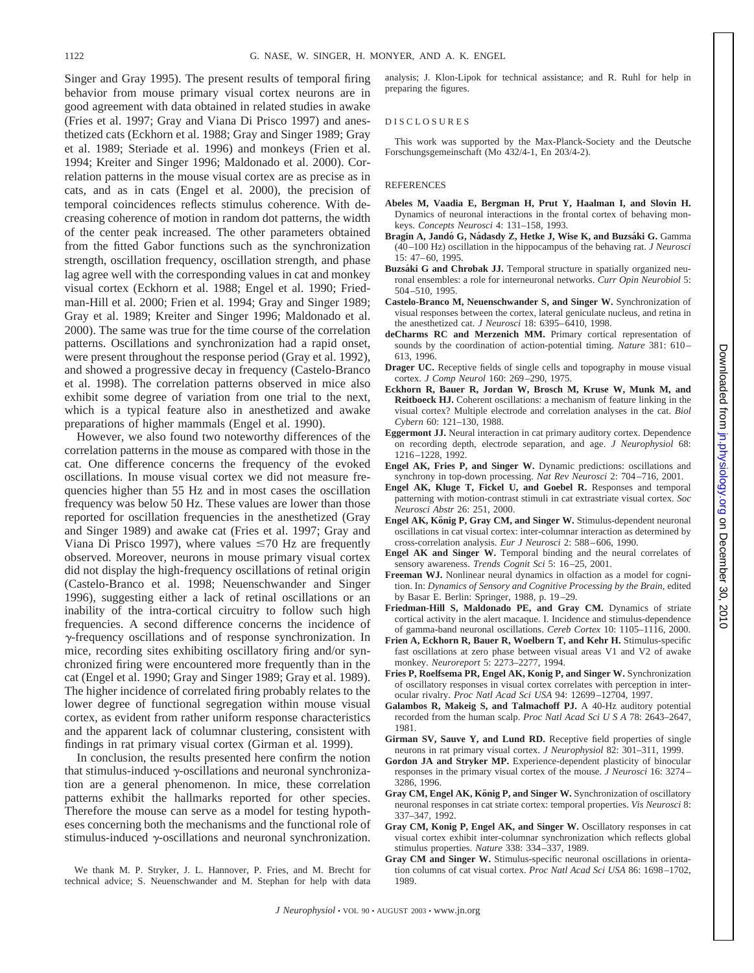Singer and Gray 1995). The present results of temporal firing behavior from mouse primary visual cortex neurons are in good agreement with data obtained in related studies in awake (Fries et al. 1997; Gray and Viana Di Prisco 1997) and anesthetized cats (Eckhorn et al. 1988; Gray and Singer 1989; Gray et al. 1989; Steriade et al. 1996) and monkeys (Frien et al. 1994; Kreiter and Singer 1996; Maldonado et al. 2000). Correlation patterns in the mouse visual cortex are as precise as in cats, and as in cats (Engel et al. 2000), the precision of temporal coincidences reflects stimulus coherence. With decreasing coherence of motion in random dot patterns, the width of the center peak increased. The other parameters obtained from the fitted Gabor functions such as the synchronization strength, oscillation frequency, oscillation strength, and phase lag agree well with the corresponding values in cat and monkey visual cortex (Eckhorn et al. 1988; Engel et al. 1990; Friedman-Hill et al. 2000; Frien et al. 1994; Gray and Singer 1989; Gray et al. 1989; Kreiter and Singer 1996; Maldonado et al. 2000). The same was true for the time course of the correlation patterns. Oscillations and synchronization had a rapid onset, were present throughout the response period (Gray et al. 1992), and showed a progressive decay in frequency (Castelo-Branco et al. 1998). The correlation patterns observed in mice also exhibit some degree of variation from one trial to the next, which is a typical feature also in anesthetized and awake preparations of higher mammals (Engel et al. 1990).

However, we also found two noteworthy differences of the correlation patterns in the mouse as compared with those in the cat. One difference concerns the frequency of the evoked oscillations. In mouse visual cortex we did not measure frequencies higher than 55 Hz and in most cases the oscillation frequency was below 50 Hz. These values are lower than those reported for oscillation frequencies in the anesthetized (Gray and Singer 1989) and awake cat (Fries et al. 1997; Gray and Viana Di Prisco 1997), where values  $\leq$  70 Hz are frequently observed. Moreover, neurons in mouse primary visual cortex did not display the high-frequency oscillations of retinal origin (Castelo-Branco et al. 1998; Neuenschwander and Singer 1996), suggesting either a lack of retinal oscillations or an inability of the intra-cortical circuitry to follow such high frequencies. A second difference concerns the incidence of  $\gamma$ -frequency oscillations and of response synchronization. In mice, recording sites exhibiting oscillatory firing and/or synchronized firing were encountered more frequently than in the cat (Engel et al. 1990; Gray and Singer 1989; Gray et al. 1989). The higher incidence of correlated firing probably relates to the lower degree of functional segregation within mouse visual cortex, as evident from rather uniform response characteristics and the apparent lack of columnar clustering, consistent with findings in rat primary visual cortex (Girman et al. 1999).

In conclusion, the results presented here confirm the notion that stimulus-induced  $\gamma$ -oscillations and neuronal synchronization are a general phenomenon. In mice, these correlation patterns exhibit the hallmarks reported for other species. Therefore the mouse can serve as a model for testing hypotheses concerning both the mechanisms and the functional role of stimulus-induced  $\gamma$ -oscillations and neuronal synchronization.

We thank M. P. Stryker, J. L. Hannover, P. Fries, and M. Brecht for technical advice; S. Neuenschwander and M. Stephan for help with data analysis; J. Klon-Lipok for technical assistance; and R. Ruhl for help in preparing the figures.

#### DISCLOSURES

This work was supported by the Max-Planck-Society and the Deutsche Forschungsgemeinschaft (Mo 432/4-1, En 203/4-2).

#### REFERENCES

- **Abeles M, Vaadia E, Bergman H, Prut Y, Haalman I, and Slovin H.** Dynamics of neuronal interactions in the frontal cortex of behaving monkeys. *Concepts Neurosci* 4: 131–158, 1993.
- **Bragin A, Jando G, N ´ adasdy Z, Hetke J, Wise K, and Buzs ´ aki G. ´** Gamma (40–100 Hz) oscillation in the hippocampus of the behaving rat. *J Neurosci* 15: 47–60, 1995.
- Buzsáki G and Chrobak JJ. Temporal structure in spatially organized neuronal ensembles: a role for interneuronal networks. *Curr Opin Neurobiol* 5: 504–510, 1995.
- **Castelo-Branco M, Neuenschwander S, and Singer W.** Synchronization of visual responses between the cortex, lateral geniculate nucleus, and retina in the anesthetized cat. *J Neurosci* 18: 6395–6410, 1998.
- **deCharms RC and Merzenich MM.** Primary cortical representation of sounds by the coordination of action-potential timing. *Nature* 381: 610– 613, 1996.
- **Drager UC.** Receptive fields of single cells and topography in mouse visual cortex. *J Comp Neurol* 160: 269–290, 1975.
- **Eckhorn R, Bauer R, Jordan W, Brosch M, Kruse W, Munk M, and Reitboeck HJ.** Coherent oscillations: a mechanism of feature linking in the visual cortex? Multiple electrode and correlation analyses in the cat. *Biol Cybern* 60: 121–130, 1988.
- **Eggermont JJ.** Neural interaction in cat primary auditory cortex. Dependence on recording depth, electrode separation, and age. *J Neurophysiol* 68: 1216–1228, 1992.
- **Engel AK, Fries P, and Singer W.** Dynamic predictions: oscillations and synchrony in top-down processing. *Nat Rev Neurosci* 2: 704–716, 2001.
- **Engel AK, Kluge T, Fickel U, and Goebel R.** Responses and temporal patterning with motion-contrast stimuli in cat extrastriate visual cortex. *Soc Neurosci Abstr* 26: 251, 2000.
- Engel AK, König P, Gray CM, and Singer W. Stimulus-dependent neuronal oscillations in cat visual cortex: inter-columnar interaction as determined by cross-correlation analysis. *Eur J Neurosci* 2: 588–606, 1990.
- **Engel AK and Singer W.** Temporal binding and the neural correlates of sensory awareness. *Trends Cognit Sci* 5: 16–25, 2001.
- **Freeman WJ.** Nonlinear neural dynamics in olfaction as a model for cognition. In: *Dynamics of Sensory and Cognitive Processing by the Brain,* edited by Basar E. Berlin: Springer, 1988, p. 19–29.
- **Friedman-Hill S, Maldonado PE, and Gray CM.** Dynamics of striate cortical activity in the alert macaque. I. Incidence and stimulus-dependence of gamma-band neuronal oscillations. *Cereb Cortex* 10: 1105–1116, 2000.
- **Frien A, Eckhorn R, Bauer R, Woelbern T, and Kehr H.** Stimulus-specific fast oscillations at zero phase between visual areas V1 and V2 of awake monkey. *Neuroreport* 5: 2273–2277, 1994.
- **Fries P, Roelfsema PR, Engel AK, Konig P, and Singer W.** Synchronization of oscillatory responses in visual cortex correlates with perception in interocular rivalry. *Proc Natl Acad Sci USA* 94: 12699–12704, 1997.
- **Galambos R, Makeig S, and Talmachoff PJ.** A 40-Hz auditory potential recorded from the human scalp. *Proc Natl Acad SciUSA* 78: 2643–2647, 1981.
- **Girman SV, Sauve Y, and Lund RD.** Receptive field properties of single neurons in rat primary visual cortex. *J Neurophysiol* 82: 301–311, 1999.
- **Gordon JA and Stryker MP.** Experience-dependent plasticity of binocular responses in the primary visual cortex of the mouse. *J Neurosci* 16: 3274– 3286, 1996.
- **Gray CM, Engel AK, König P, and Singer W.** Synchronization of oscillatory neuronal responses in cat striate cortex: temporal properties. *Vis Neurosci* 8: 337–347, 1992.
- **Gray CM, Konig P, Engel AK, and Singer W.** Oscillatory responses in cat visual cortex exhibit inter-columnar synchronization which reflects global stimulus properties. *Nature* 338: 334–337, 1989.
- **Gray CM and Singer W.** Stimulus-specific neuronal oscillations in orientation columns of cat visual cortex. *Proc Natl Acad Sci USA* 86: 1698–1702, 1989.